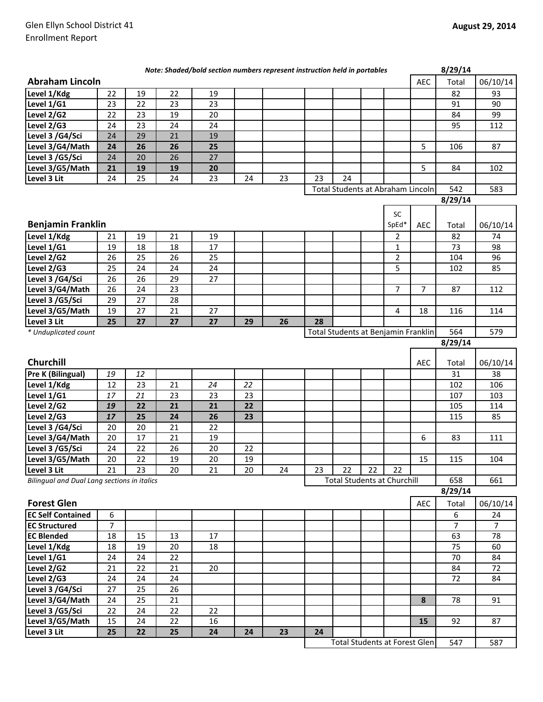|                                                  |                     |                 |    | Note: Shaded/bold section numbers represent instruction held in portables |    |    |    |                                          |    |                |                | 8/29/14             |                |
|--------------------------------------------------|---------------------|-----------------|----|---------------------------------------------------------------------------|----|----|----|------------------------------------------|----|----------------|----------------|---------------------|----------------|
| <b>Abraham Lincoln</b>                           |                     |                 |    |                                                                           |    |    |    |                                          |    |                | <b>AEC</b>     | Total               | 06/10/14       |
| Level 1/Kdg                                      | 22                  | 19              | 22 | 19                                                                        |    |    |    |                                          |    |                |                | 82                  | 93             |
| Level 1/G1                                       | 23                  | 22              | 23 | 23                                                                        |    |    |    |                                          |    |                |                | 91                  | 90             |
| Level 2/G2                                       | 22                  | 23              | 19 | 20                                                                        |    |    |    |                                          |    |                |                | 84                  | 99             |
| Level 2/G3                                       | 24                  | 23              | 24 | 24                                                                        |    |    |    |                                          |    |                |                | 95                  | 112            |
| Level 3 /G4/Sci                                  | 24                  | 29              | 21 | 19                                                                        |    |    |    |                                          |    |                |                |                     |                |
| Level 3/G4/Math                                  | 24                  | 26              | 26 | 25                                                                        |    |    |    |                                          |    |                | 5              | 106                 | 87             |
| Level 3 /G5/Sci                                  | 24                  | 20              | 26 | 27                                                                        |    |    |    |                                          |    |                |                |                     |                |
| Level 3/G5/Math                                  | 21                  | 19              | 19 | 20                                                                        |    |    |    |                                          |    |                | 5              | 84                  | 102            |
| Level 3 Lit                                      | 24                  | 25              | 24 | 23                                                                        | 24 | 23 | 23 | 24                                       |    |                |                |                     |                |
|                                                  |                     |                 |    |                                                                           |    |    |    | <b>Total Students at Abraham Lincoln</b> |    |                |                | 542                 | 583            |
|                                                  |                     |                 |    |                                                                           |    |    |    |                                          |    |                |                | 8/29/14             |                |
|                                                  |                     |                 |    |                                                                           |    |    |    |                                          |    | SC             |                |                     |                |
| <b>Benjamin Franklin</b>                         |                     |                 |    |                                                                           |    |    |    |                                          |    | SpEd*          | AEC            | Total               | 06/10/14       |
| Level 1/Kdg                                      | 21                  | 19              | 21 | 19                                                                        |    |    |    |                                          |    | $\overline{2}$ |                | 82                  | 74             |
| Level 1/G1                                       | 19                  | 18              | 18 | 17                                                                        |    |    |    |                                          |    | $\mathbf{1}$   |                | 73                  | 98             |
| Level 2/G2                                       | 26                  | $\overline{25}$ | 26 | 25                                                                        |    |    |    |                                          |    | $\overline{2}$ |                | 104                 | 96             |
| Level 2/G3                                       | 25                  | 24              | 24 | 24                                                                        |    |    |    |                                          |    | 5              |                | 102                 | 85             |
| Level 3 /G4/Sci                                  | 26                  | $\overline{26}$ | 29 | 27                                                                        |    |    |    |                                          |    |                |                |                     |                |
|                                                  |                     |                 |    |                                                                           |    |    |    |                                          |    | $\overline{7}$ | $\overline{7}$ |                     |                |
| Level 3/G4/Math                                  | 26                  | 24              | 23 |                                                                           |    |    |    |                                          |    |                |                | 87                  | 112            |
| Level 3 /G5/Sci                                  | 29                  | $\overline{27}$ | 28 |                                                                           |    |    |    |                                          |    |                |                |                     |                |
| Level 3/G5/Math                                  | 19                  | 27              | 21 | 27                                                                        |    |    |    |                                          |    | 4              | 18             | 116                 | 114            |
| Level 3 Lit                                      | 25                  | 27              | 27 | 27                                                                        | 29 | 26 | 28 |                                          |    |                |                |                     |                |
| * Unduplicated count                             |                     |                 |    |                                                                           |    |    |    | Total Students at Benjamin Franklin      |    |                |                | 564                 | 579            |
|                                                  |                     |                 |    |                                                                           |    |    |    |                                          |    |                |                | $\frac{1}{8/29/14}$ |                |
| Churchill                                        |                     |                 |    |                                                                           |    |    |    |                                          |    |                | AEC            | Total               | 06/10/14       |
| <b>Pre K (Bilingual)</b>                         | 19                  | 12              |    |                                                                           |    |    |    |                                          |    |                |                | 31                  | 38             |
| Level 1/Kdg                                      | 12                  | 23              | 21 | 24                                                                        | 22 |    |    |                                          |    |                |                | 102                 | 106            |
| Level 1/G1                                       | 17                  | 21              | 23 | 23                                                                        | 23 |    |    |                                          |    |                |                | 107                 | 103            |
| Level 2/G2                                       | 19                  | 22              | 21 | 21                                                                        | 22 |    |    |                                          |    |                |                | 105                 | 114            |
| Level 2/G3                                       | 17                  | 25              | 24 | 26                                                                        | 23 |    |    |                                          |    |                |                | 115                 | 85             |
| Level 3 /G4/Sci                                  | 20                  | 20              | 21 | 22                                                                        |    |    |    |                                          |    |                |                |                     |                |
| Level 3/G4/Math                                  | 20                  | 17              | 21 | 19                                                                        |    |    |    |                                          |    |                | 6              | 83                  | 111            |
| Level 3 /G5/Sci                                  | 24                  | 22              | 26 | 20                                                                        | 22 |    |    |                                          |    |                |                |                     |                |
| Level 3/G5/Math                                  | 20                  | 22              | 19 | $20\,$                                                                    | 19 |    |    |                                          |    |                | 15             | 115                 | 104            |
| Level 3 Lit                                      | 21                  | 23              | 20 | 21                                                                        | 20 | 24 | 23 | 22                                       | 22 | 22             |                |                     |                |
| Bilingual and Dual Lang sections in italics      |                     |                 |    |                                                                           |    |    |    | <b>Total Students at Churchill</b>       |    |                |                | 658                 | 661            |
|                                                  |                     |                 |    |                                                                           |    |    |    |                                          |    |                |                | 8/29/14             |                |
| <b>Forest Glen</b>                               |                     |                 |    |                                                                           |    |    |    |                                          |    |                | AEC            | Total               | 06/10/14       |
|                                                  |                     |                 |    |                                                                           |    |    |    |                                          |    |                |                |                     |                |
| <b>EC Self Contained</b><br><b>EC Structured</b> | 6<br>$\overline{7}$ |                 |    |                                                                           |    |    |    |                                          |    |                |                | 6                   | 24             |
|                                                  |                     |                 |    |                                                                           |    |    |    |                                          |    |                |                | 7                   | $\overline{7}$ |
| <b>EC Blended</b>                                | 18                  | 15              | 13 | 17                                                                        |    |    |    |                                          |    |                |                | 63                  | 78             |
| Level 1/Kdg                                      | 18                  | 19              | 20 | 18                                                                        |    |    |    |                                          |    |                |                | 75                  | 60             |
| Level 1/G1                                       | 24                  | 24              | 22 |                                                                           |    |    |    |                                          |    |                |                | 70                  | 84             |
| Level 2/G2                                       | 21                  | 22              | 21 | 20                                                                        |    |    |    |                                          |    |                |                | 84                  | 72             |
| Level 2/G3                                       | 24                  | 24              | 24 |                                                                           |    |    |    |                                          |    |                |                | 72                  | 84             |
| Level 3 /G4/Sci                                  | 27                  | 25              | 26 |                                                                           |    |    |    |                                          |    |                |                |                     |                |
| Level 3/G4/Math                                  | 24                  | 25              | 21 |                                                                           |    |    |    |                                          |    |                | 8              | 78                  | 91             |
| Level 3 /G5/Sci                                  | 22                  | 24              | 22 | 22                                                                        |    |    |    |                                          |    |                |                |                     |                |
| Level 3/G5/Math                                  | 15                  | 24              | 22 | 16                                                                        |    |    |    |                                          |    |                | 15             | 92                  | 87             |
| Level 3 Lit                                      | 25                  | 22              | 25 | 24                                                                        | 24 | 23 | 24 |                                          |    |                |                |                     |                |
|                                                  |                     |                 |    |                                                                           |    |    |    | <b>Total Students at Forest Glen</b>     |    |                |                | 547                 | 587            |